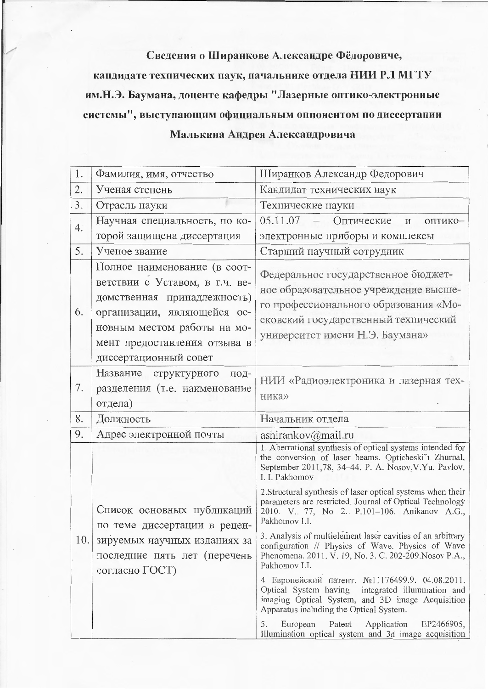## Сведения о Ширанкове Александре Фёдоровиче,

кандидате технических наук, начальнике отдела НИИ РЛ МГТУ им.Н.Э. Баумана, доценте кафедры "Лазерные оптико-электронные системы", выступающим официальным оппонентом по диссертации Малькина Андрея Александровича

| 1.  | Фамилия, имя, отчество                                                                                                                                                                      | Ширанков Александр Федорович                                                                                                                                                                                                                                                                                                                                                                                                                                                                                                                                                                                                                                                                                                                                                                                                                                                                                  |
|-----|---------------------------------------------------------------------------------------------------------------------------------------------------------------------------------------------|---------------------------------------------------------------------------------------------------------------------------------------------------------------------------------------------------------------------------------------------------------------------------------------------------------------------------------------------------------------------------------------------------------------------------------------------------------------------------------------------------------------------------------------------------------------------------------------------------------------------------------------------------------------------------------------------------------------------------------------------------------------------------------------------------------------------------------------------------------------------------------------------------------------|
| 2.  | Ученая степень                                                                                                                                                                              | Кандидат технических наук                                                                                                                                                                                                                                                                                                                                                                                                                                                                                                                                                                                                                                                                                                                                                                                                                                                                                     |
| 3.  | Отрасль науки                                                                                                                                                                               | Технические науки                                                                                                                                                                                                                                                                                                                                                                                                                                                                                                                                                                                                                                                                                                                                                                                                                                                                                             |
| 4.  | Научная специальность, по ко-                                                                                                                                                               | 05.11.07<br>Оптические<br>ОПТИКО-<br>И                                                                                                                                                                                                                                                                                                                                                                                                                                                                                                                                                                                                                                                                                                                                                                                                                                                                        |
|     | торой защищена диссертация                                                                                                                                                                  | электронные приборы и комплексы                                                                                                                                                                                                                                                                                                                                                                                                                                                                                                                                                                                                                                                                                                                                                                                                                                                                               |
| 5.  | Ученое звание                                                                                                                                                                               | Старший научный сотрудник                                                                                                                                                                                                                                                                                                                                                                                                                                                                                                                                                                                                                                                                                                                                                                                                                                                                                     |
| 6.  | Полное наименование (в соот-<br>ветствии с Уставом, в т.ч. ве-<br>домственная принадлежность)<br>организации, являющейся ос-<br>новным местом работы на мо-<br>мент предоставления отзыва в | Федеральное государственное бюджет-<br>ное образовательное учреждение высше-<br>го профессионального образования «Мо-<br>сковский государственный технический<br>университет имени Н.Э. Баумана»                                                                                                                                                                                                                                                                                                                                                                                                                                                                                                                                                                                                                                                                                                              |
|     | диссертационный совет                                                                                                                                                                       |                                                                                                                                                                                                                                                                                                                                                                                                                                                                                                                                                                                                                                                                                                                                                                                                                                                                                                               |
| 7.  | Название<br>структурного<br>под-<br>разделения (т.е. наименование<br>отдела)                                                                                                                | НИИ «Радиоэлектроника и лазерная тех-<br>ника»                                                                                                                                                                                                                                                                                                                                                                                                                                                                                                                                                                                                                                                                                                                                                                                                                                                                |
| 8.  | Должность                                                                                                                                                                                   | Начальник отдела                                                                                                                                                                                                                                                                                                                                                                                                                                                                                                                                                                                                                                                                                                                                                                                                                                                                                              |
| 9.  | Адрес электронной почты                                                                                                                                                                     | ashirankov@mail.ru                                                                                                                                                                                                                                                                                                                                                                                                                                                                                                                                                                                                                                                                                                                                                                                                                                                                                            |
| 10. | Список основных публикаций<br>по теме диссертации в рецен-<br>зируемых научных изданиях за<br>последние пять лет (перечень<br>согласно ГОСТ)                                                | 1. Aberrational synthesis of optical systems intended for<br>the conversion of laser beams. Opticheski'i Zhurnal,<br>September 2011,78, 34-44. P. A. Nosov, V. Yu. Pavlov,<br>I. I. Pakhomov<br>2. Structural synthesis of laser optical systems when their<br>parameters are restricted. Journal of Optical Technology<br>2010. V. 77, No 2. P.101-106. Anikanov A.G.,<br>Pakhomov I.I.<br>3. Analysis of multielement laser cavities of an arbitrary<br>configuration // Physics of Wave. Physics of Wave<br>Phenomena. 2011. V. 19, No. 3. C. 202-209. Nosov P.A.,<br>Pakhomov I.I.<br>4 Европейский патент. №11176499.9. 04.08.2011.<br>Optical System having integrated illumination and<br>imaging Optical System, and 3D image Acquisition<br>Apparatus including the Optical System.<br>Application<br>EP2466905,<br>European<br>Patent<br>5.<br>Illumination optical system and 3d image acquisition |